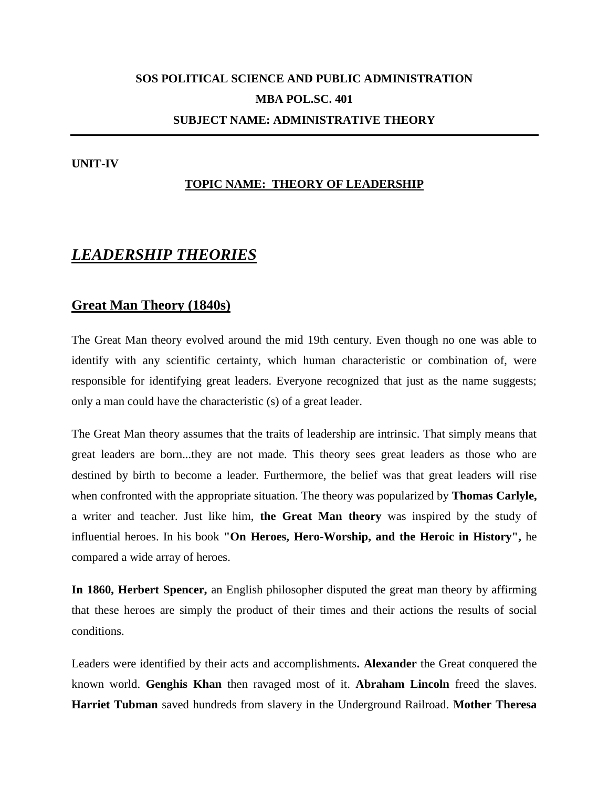# **SOS POLITICAL SCIENCE AND PUBLIC ADMINISTRATION MBA POL.SC. 401 SUBJECT NAME: ADMINISTRATIVE THEORY**

#### **UNIT-IV**

#### **TOPIC NAME: THEORY OF LEADERSHIP**

## *LEADERSHIP THEORIES*

### **Great Man Theory (1840s)**

The Great Man theory evolved around the mid 19th century. Even though no one was able to identify with any scientific certainty, which human characteristic or combination of, were responsible for identifying great leaders. Everyone recognized that just as the name suggests; only a man could have the characteristic (s) of a great leader.

The Great Man theory assumes that the traits of leadership are intrinsic. That simply means that great leaders are born...they are not made. This theory sees great leaders as those who are destined by birth to become a leader. Furthermore, the belief was that great leaders will rise when confronted with the appropriate situation. The theory was popularized by **Thomas Carlyle,** a writer and teacher. Just like him, **the Great Man theory** was inspired by the study of influential heroes. In his book **"On Heroes, Hero-Worship, and the Heroic in History",** he compared a wide array of heroes.

**In 1860, Herbert Spencer,** an English philosopher disputed the great man theory by affirming that these heroes are simply the product of their times and their actions the results of social conditions.

Leaders were identified by their acts and accomplishments**. Alexander** the Great conquered the known world. **Genghis Khan** then ravaged most of it. **Abraham Lincoln** freed the slaves. **Harriet Tubman** saved hundreds from slavery in the Underground Railroad. **Mother Theresa**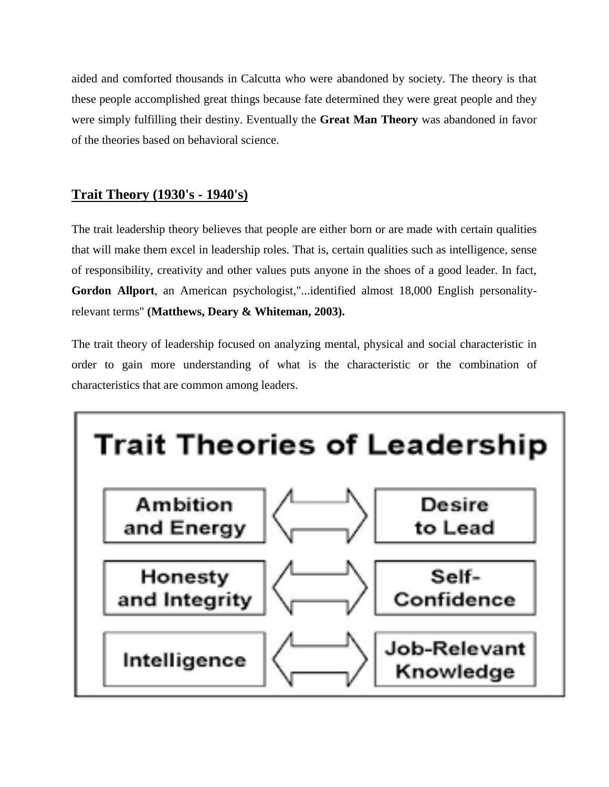aided and comforted thousands in Calcutta who were abandoned by society. The theory is that these people accomplished great things because fate determined they were great people and they were simply fulfilling their destiny. Eventually the **Great Man Theory** was abandoned in favor of the theories based on behavioral science.

## **Trait Theory (1930's - 1940's)**

The trait leadership theory believes that people are either born or are made with certain qualities that will make them excel in leadership roles. That is, certain qualities such as intelligence, sense of responsibility, creativity and other values puts anyone in the shoes of a good leader. In fact, **Gordon Allport**, an American psychologist,"...identified almost 18,000 English personalityrelevant terms" **(Matthews, Deary & Whiteman, 2003).**

The trait theory of leadership focused on analyzing mental, physical and social characteristic in order to gain more understanding of what is the characteristic or the combination of characteristics that are common among leaders.

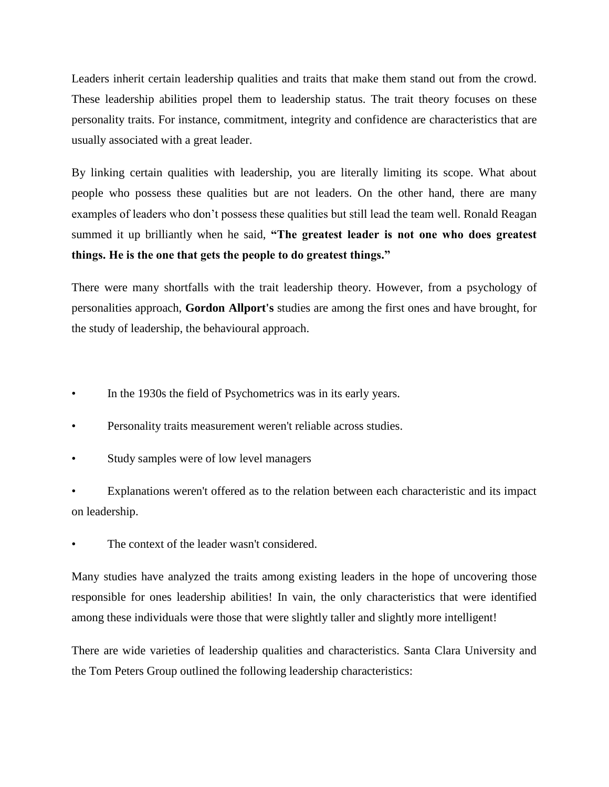Leaders inherit certain leadership qualities and traits that make them stand out from the crowd. These leadership abilities propel them to leadership status. The trait theory focuses on these personality traits. For instance, commitment, integrity and confidence are characteristics that are usually associated with a great leader.

By linking certain qualities with leadership, you are literally limiting its scope. What about people who possess these qualities but are not leaders. On the other hand, there are many examples of leaders who don't possess these qualities but still lead the team well. Ronald Reagan summed it up brilliantly when he said, **"The greatest leader is not one who does greatest things. He is the one that gets the people to do greatest things."**

There were many shortfalls with the trait leadership theory. However, from a psychology of personalities approach, **Gordon Allport's** studies are among the first ones and have brought, for the study of leadership, the behavioural approach.

- In the 1930s the field of Psychometrics was in its early years.
- Personality traits measurement weren't reliable across studies.
- Study samples were of low level managers

Explanations weren't offered as to the relation between each characteristic and its impact on leadership.

The context of the leader wasn't considered.

Many studies have analyzed the traits among existing leaders in the hope of uncovering those responsible for ones leadership abilities! In vain, the only characteristics that were identified among these individuals were those that were slightly taller and slightly more intelligent!

There are wide varieties of leadership qualities and characteristics. Santa Clara University and the Tom Peters Group outlined the following leadership characteristics: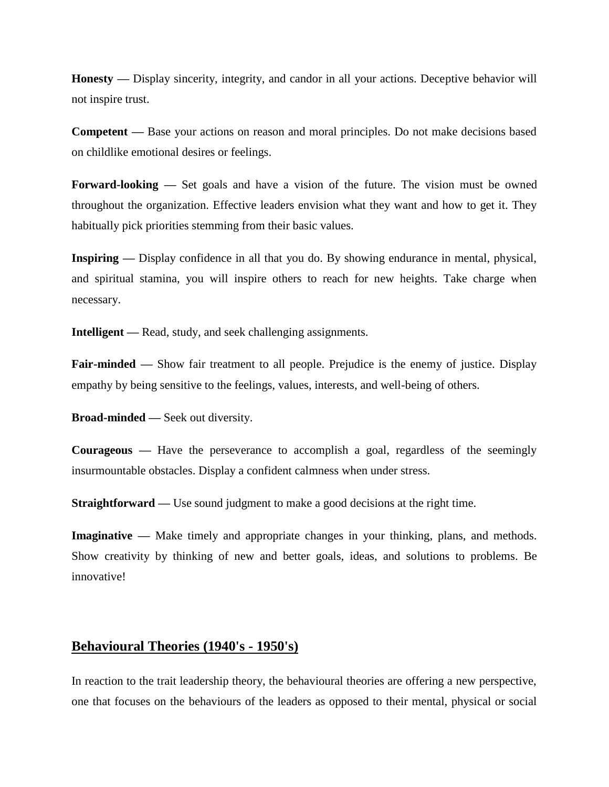**Honesty —** Display sincerity, integrity, and candor in all your actions. Deceptive behavior will not inspire trust.

**Competent —** Base your actions on reason and moral principles. Do not make decisions based on childlike emotional desires or feelings.

**Forward-looking —** Set goals and have a vision of the future. The vision must be owned throughout the organization. Effective leaders envision what they want and how to get it. They habitually pick priorities stemming from their basic values.

**Inspiring —** Display confidence in all that you do. By showing endurance in mental, physical, and spiritual stamina, you will inspire others to reach for new heights. Take charge when necessary.

**Intelligent —** Read, study, and seek challenging assignments.

**Fair-minded** — Show fair treatment to all people. Prejudice is the enemy of justice. Display empathy by being sensitive to the feelings, values, interests, and well-being of others.

**Broad-minded —** Seek out diversity.

**Courageous —** Have the perseverance to accomplish a goal, regardless of the seemingly insurmountable obstacles. Display a confident calmness when under stress.

**Straightforward** — Use sound judgment to make a good decisions at the right time.

**Imaginative —** Make timely and appropriate changes in your thinking, plans, and methods. Show creativity by thinking of new and better goals, ideas, and solutions to problems. Be innovative!

#### **Behavioural Theories (1940's - 1950's)**

In reaction to the trait leadership theory, the behavioural theories are offering a new perspective, one that focuses on the behaviours of the leaders as opposed to their mental, physical or social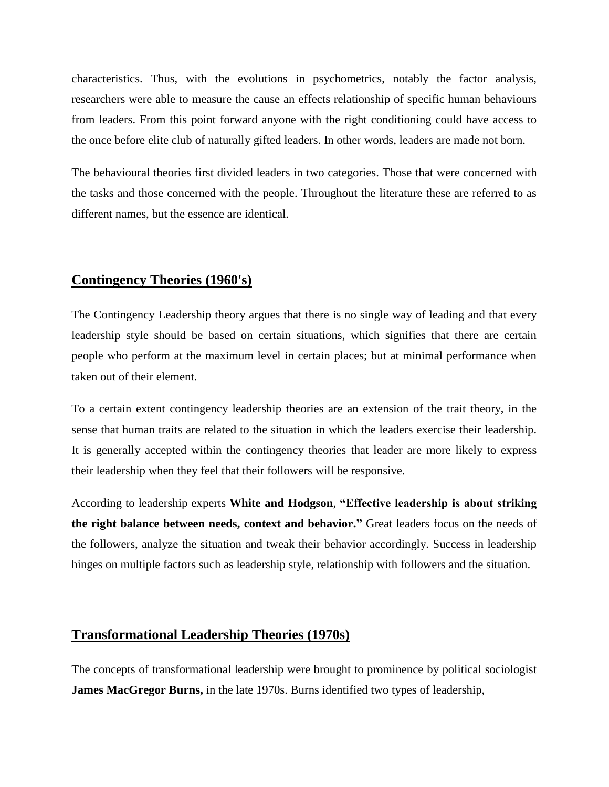characteristics. Thus, with the evolutions in psychometrics, notably the factor analysis, researchers were able to measure the cause an effects relationship of specific human behaviours from leaders. From this point forward anyone with the right conditioning could have access to the once before elite club of naturally gifted leaders. In other words, leaders are made not born.

The behavioural theories first divided leaders in two categories. Those that were concerned with the tasks and those concerned with the people. Throughout the literature these are referred to as different names, but the essence are identical.

### **Contingency Theories (1960's)**

The Contingency Leadership theory argues that there is no single way of leading and that every leadership style should be based on certain situations, which signifies that there are certain people who perform at the maximum level in certain places; but at minimal performance when taken out of their element.

To a certain extent contingency leadership theories are an extension of the trait theory, in the sense that human traits are related to the situation in which the leaders exercise their leadership. It is generally accepted within the contingency theories that leader are more likely to express their leadership when they feel that their followers will be responsive.

According to leadership experts **White and Hodgson**, **"Effective leadership is about striking the right balance between needs, context and behavior."** Great leaders focus on the needs of the followers, analyze the situation and tweak their behavior accordingly. Success in leadership hinges on multiple factors such as leadership style, relationship with followers and the situation.

#### **Transformational Leadership Theories (1970s)**

The concepts of transformational leadership were brought to prominence by political sociologist **James MacGregor Burns,** in the late 1970s. Burns identified two types of leadership,